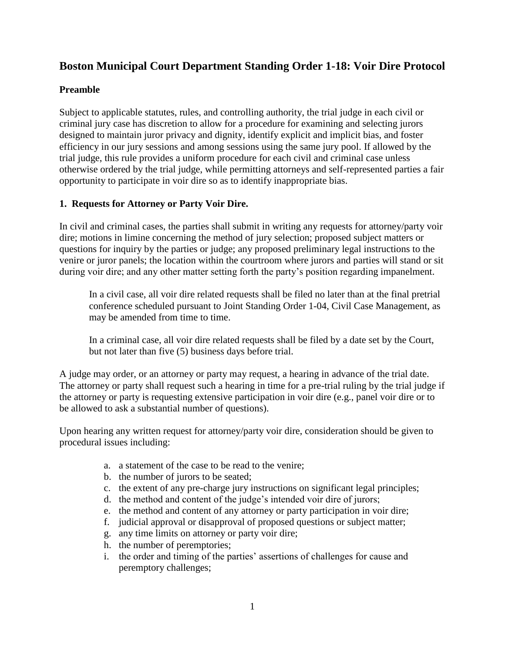# **Boston Municipal Court Department Standing Order 1-18: Voir Dire Protocol**

## **Preamble**

Subject to applicable statutes, rules, and controlling authority, the trial judge in each civil or criminal jury case has discretion to allow for a procedure for examining and selecting jurors designed to maintain juror privacy and dignity, identify explicit and implicit bias, and foster efficiency in our jury sessions and among sessions using the same jury pool. If allowed by the trial judge, this rule provides a uniform procedure for each civil and criminal case unless otherwise ordered by the trial judge, while permitting attorneys and self-represented parties a fair opportunity to participate in voir dire so as to identify inappropriate bias.

## **1. Requests for Attorney or Party Voir Dire.**

In civil and criminal cases, the parties shall submit in writing any requests for attorney/party voir dire; motions in limine concerning the method of jury selection; proposed subject matters or questions for inquiry by the parties or judge; any proposed preliminary legal instructions to the venire or juror panels; the location within the courtroom where jurors and parties will stand or sit during voir dire; and any other matter setting forth the party's position regarding impanelment.

In a civil case, all voir dire related requests shall be filed no later than at the final pretrial conference scheduled pursuant to Joint Standing Order 1-04, Civil Case Management, as may be amended from time to time.

In a criminal case, all voir dire related requests shall be filed by a date set by the Court, but not later than five (5) business days before trial.

A judge may order, or an attorney or party may request, a hearing in advance of the trial date. The attorney or party shall request such a hearing in time for a pre-trial ruling by the trial judge if the attorney or party is requesting extensive participation in voir dire (e.g., panel voir dire or to be allowed to ask a substantial number of questions).

Upon hearing any written request for attorney/party voir dire, consideration should be given to procedural issues including:

- a. a statement of the case to be read to the venire;
- b. the number of jurors to be seated;
- c. the extent of any pre-charge jury instructions on significant legal principles;
- d. the method and content of the judge's intended voir dire of jurors;
- e. the method and content of any attorney or party participation in voir dire;
- f. judicial approval or disapproval of proposed questions or subject matter;
- g. any time limits on attorney or party voir dire;
- h. the number of peremptories;
- i. the order and timing of the parties' assertions of challenges for cause and peremptory challenges;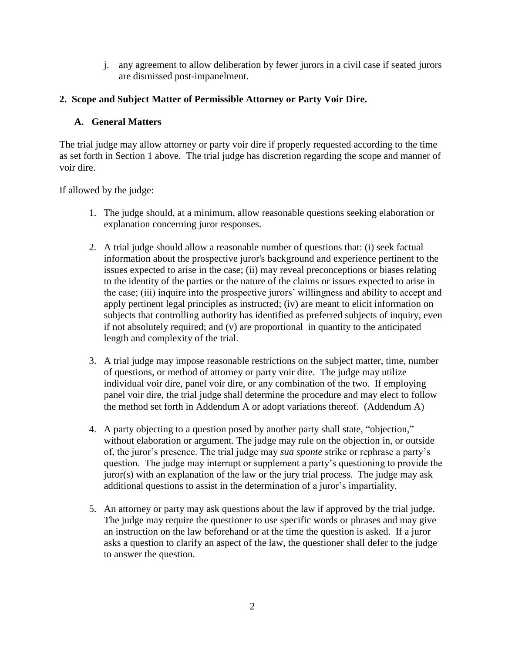j. any agreement to allow deliberation by fewer jurors in a civil case if seated jurors are dismissed post-impanelment.

## **2. Scope and Subject Matter of Permissible Attorney or Party Voir Dire.**

### **A. General Matters**

The trial judge may allow attorney or party voir dire if properly requested according to the time as set forth in Section 1 above. The trial judge has discretion regarding the scope and manner of voir dire.

If allowed by the judge:

- 1. The judge should, at a minimum, allow reasonable questions seeking elaboration or explanation concerning juror responses.
- 2. A trial judge should allow a reasonable number of questions that: (i) seek factual information about the prospective juror's background and experience pertinent to the issues expected to arise in the case; (ii) may reveal preconceptions or biases relating to the identity of the parties or the nature of the claims or issues expected to arise in the case; (iii) inquire into the prospective jurors' willingness and ability to accept and apply pertinent legal principles as instructed; (iv) are meant to elicit information on subjects that controlling authority has identified as preferred subjects of inquiry, even if not absolutely required; and (v) are proportional in quantity to the anticipated length and complexity of the trial.
- 3. A trial judge may impose reasonable restrictions on the subject matter, time, number of questions, or method of attorney or party voir dire. The judge may utilize individual voir dire, panel voir dire, or any combination of the two. If employing panel voir dire, the trial judge shall determine the procedure and may elect to follow the method set forth in Addendum A or adopt variations thereof. (Addendum A)
- 4. A party objecting to a question posed by another party shall state, "objection," without elaboration or argument. The judge may rule on the objection in, or outside of, the juror's presence. The trial judge may *sua sponte* strike or rephrase a party's question. The judge may interrupt or supplement a party's questioning to provide the juror(s) with an explanation of the law or the jury trial process. The judge may ask additional questions to assist in the determination of a juror's impartiality.
- 5. An attorney or party may ask questions about the law if approved by the trial judge. The judge may require the questioner to use specific words or phrases and may give an instruction on the law beforehand or at the time the question is asked. If a juror asks a question to clarify an aspect of the law, the questioner shall defer to the judge to answer the question.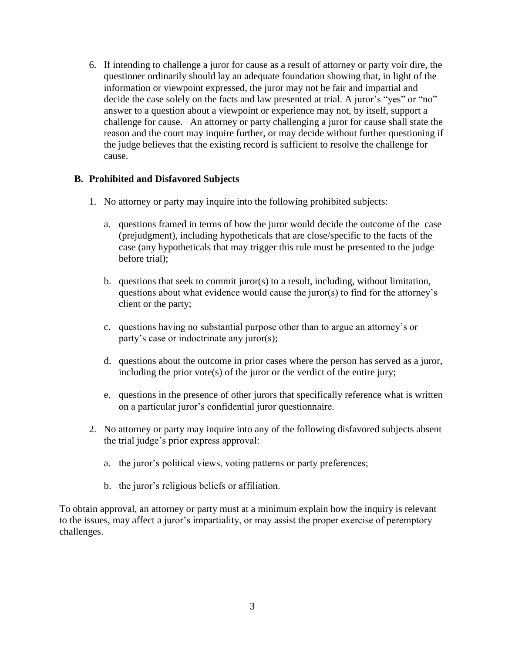6. If intending to challenge a juror for cause as a result of attorney or party voir dire, the questioner ordinarily should lay an adequate foundation showing that, in light of the information or viewpoint expressed, the juror may not be fair and impartial and decide the case solely on the facts and law presented at trial. A juror's "yes" or "no" answer to a question about a viewpoint or experience may not, by itself, support a challenge for cause. An attorney or party challenging a juror for cause shall state the reason and the court may inquire further, or may decide without further questioning if the judge believes that the existing record is sufficient to resolve the challenge for cause.

#### **B. Prohibited and Disfavored Subjects**

- 1. No attorney or party may inquire into the following prohibited subjects:
	- a. questions framed in terms of how the juror would decide the outcome of the case (prejudgment), including hypotheticals that are close/specific to the facts of the case (any hypotheticals that may trigger this rule must be presented to the judge before trial);
	- b. questions that seek to commit juror(s) to a result, including, without limitation, questions about what evidence would cause the juror(s) to find for the attorney's client or the party;
	- c. questions having no substantial purpose other than to argue an attorney's or party's case or indoctrinate any juror(s);
	- d. questions about the outcome in prior cases where the person has served as a juror, including the prior vote(s) of the juror or the verdict of the entire jury;
	- e. questions in the presence of other jurors that specifically reference what is written on a particular juror's confidential juror questionnaire.
- 2. No attorney or party may inquire into any of the following disfavored subjects absent the trial judge's prior express approval:
	- a. the juror's political views, voting patterns or party preferences;
	- b. the juror's religious beliefs or affiliation.

To obtain approval, an attorney or party must at a minimum explain how the inquiry is relevant to the issues, may affect a juror's impartiality, or may assist the proper exercise of peremptory challenges.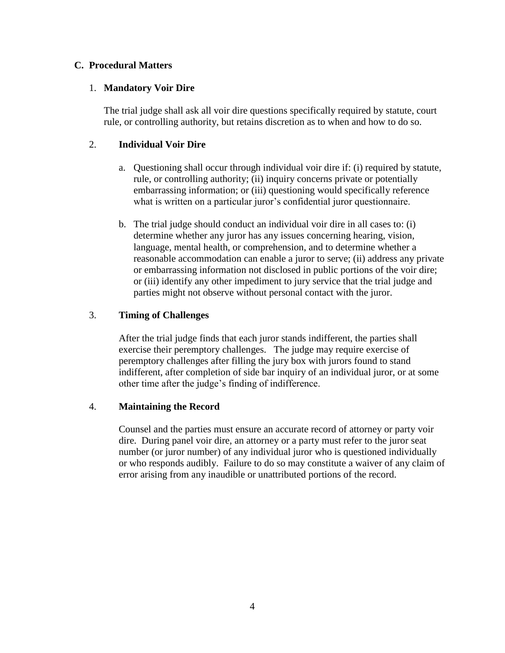### **C. Procedural Matters**

#### 1. **Mandatory Voir Dire**

 The trial judge shall ask all voir dire questions specifically required by statute, court rule, or controlling authority, but retains discretion as to when and how to do so.

### 2. **Individual Voir Dire**

- a. Questioning shall occur through individual voir dire if: (i) required by statute, rule, or controlling authority; (ii) inquiry concerns private or potentially embarrassing information; or (iii) questioning would specifically reference what is written on a particular juror's confidential juror questionnaire.
- b. The trial judge should conduct an individual voir dire in all cases to: (i) determine whether any juror has any issues concerning hearing, vision, language, mental health, or comprehension, and to determine whether a reasonable accommodation can enable a juror to serve; (ii) address any private or embarrassing information not disclosed in public portions of the voir dire; or (iii) identify any other impediment to jury service that the trial judge and parties might not observe without personal contact with the juror.

#### 3. **Timing of Challenges**

After the trial judge finds that each juror stands indifferent, the parties shall exercise their peremptory challenges. The judge may require exercise of peremptory challenges after filling the jury box with jurors found to stand indifferent, after completion of side bar inquiry of an individual juror, or at some other time after the judge's finding of indifference.

#### 4. **Maintaining the Record**

Counsel and the parties must ensure an accurate record of attorney or party voir dire. During panel voir dire, an attorney or a party must refer to the juror seat number (or juror number) of any individual juror who is questioned individually or who responds audibly. Failure to do so may constitute a waiver of any claim of error arising from any inaudible or unattributed portions of the record.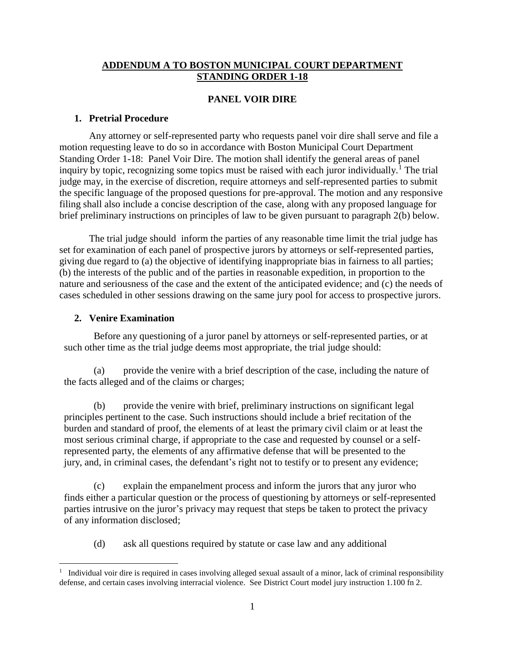#### **ADDENDUM A TO BOSTON MUNICIPAL COURT DEPARTMENT STANDING ORDER 1-18**

#### **PANEL VOIR DIRE**

#### **1. Pretrial Procedure**

Any attorney or self-represented party who requests panel voir dire shall serve and file a motion requesting leave to do so in accordance with Boston Municipal Court Department Standing Order 1-18: Panel Voir Dire. The motion shall identify the general areas of panel inquiry by topic, recognizing some topics must be raised with each juror individually.<sup>1</sup> The trial judge may, in the exercise of discretion, require attorneys and self-represented parties to submit the specific language of the proposed questions for pre-approval. The motion and any responsive filing shall also include a concise description of the case, along with any proposed language for brief preliminary instructions on principles of law to be given pursuant to paragraph 2(b) below.

The trial judge should inform the parties of any reasonable time limit the trial judge has set for examination of each panel of prospective jurors by attorneys or self-represented parties, giving due regard to (a) the objective of identifying inappropriate bias in fairness to all parties; (b) the interests of the public and of the parties in reasonable expedition, in proportion to the nature and seriousness of the case and the extent of the anticipated evidence; and (c) the needs of cases scheduled in other sessions drawing on the same jury pool for access to prospective jurors.

#### **2. Venire Examination**

 $\overline{\phantom{a}}$ 

Before any questioning of a juror panel by attorneys or self-represented parties, or at such other time as the trial judge deems most appropriate, the trial judge should:

(a) provide the venire with a brief description of the case, including the nature of the facts alleged and of the claims or charges;

(b) provide the venire with brief, preliminary instructions on significant legal principles pertinent to the case. Such instructions should include a brief recitation of the burden and standard of proof, the elements of at least the primary civil claim or at least the most serious criminal charge, if appropriate to the case and requested by counsel or a selfrepresented party, the elements of any affirmative defense that will be presented to the jury, and, in criminal cases, the defendant's right not to testify or to present any evidence;

(c) explain the empanelment process and inform the jurors that any juror who finds either a particular question or the process of questioning by attorneys or self-represented parties intrusive on the juror's privacy may request that steps be taken to protect the privacy of any information disclosed;

(d) ask all questions required by statute or case law and any additional

<sup>&</sup>lt;sup>1</sup> Individual voir dire is required in cases involving alleged sexual assault of a minor, lack of criminal responsibility defense, and certain cases involving interracial violence. See District Court model jury instruction 1.100 fn 2.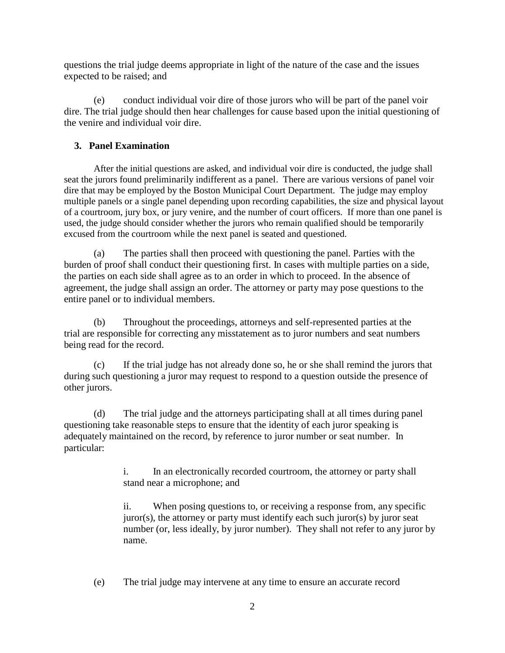questions the trial judge deems appropriate in light of the nature of the case and the issues expected to be raised; and

(e) conduct individual voir dire of those jurors who will be part of the panel voir dire. The trial judge should then hear challenges for cause based upon the initial questioning of the venire and individual voir dire.

### **3. Panel Examination**

After the initial questions are asked, and individual voir dire is conducted, the judge shall seat the jurors found preliminarily indifferent as a panel. There are various versions of panel voir dire that may be employed by the Boston Municipal Court Department. The judge may employ multiple panels or a single panel depending upon recording capabilities, the size and physical layout of a courtroom, jury box, or jury venire, and the number of court officers. If more than one panel is used, the judge should consider whether the jurors who remain qualified should be temporarily excused from the courtroom while the next panel is seated and questioned.

(a) The parties shall then proceed with questioning the panel. Parties with the burden of proof shall conduct their questioning first. In cases with multiple parties on a side, the parties on each side shall agree as to an order in which to proceed. In the absence of agreement, the judge shall assign an order. The attorney or party may pose questions to the entire panel or to individual members.

(b) Throughout the proceedings, attorneys and self-represented parties at the trial are responsible for correcting any misstatement as to juror numbers and seat numbers being read for the record.

(c) If the trial judge has not already done so, he or she shall remind the jurors that during such questioning a juror may request to respond to a question outside the presence of other jurors.

(d) The trial judge and the attorneys participating shall at all times during panel questioning take reasonable steps to ensure that the identity of each juror speaking is adequately maintained on the record, by reference to juror number or seat number. In particular:

> i. In an electronically recorded courtroom, the attorney or party shall stand near a microphone; and

ii. When posing questions to, or receiving a response from, any specific  $juro(s)$ , the attorney or party must identify each such juror(s) by juror seat number (or, less ideally, by juror number). They shall not refer to any juror by name.

(e) The trial judge may intervene at any time to ensure an accurate record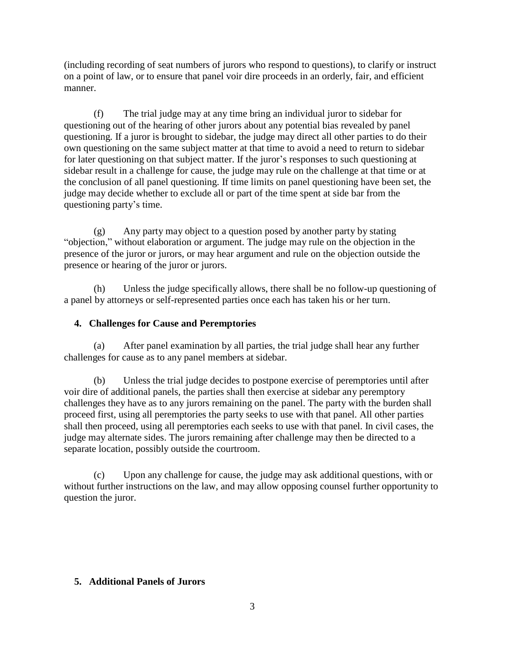(including recording of seat numbers of jurors who respond to questions), to clarify or instruct on a point of law, or to ensure that panel voir dire proceeds in an orderly, fair, and efficient manner.

(f) The trial judge may at any time bring an individual juror to sidebar for questioning out of the hearing of other jurors about any potential bias revealed by panel questioning. If a juror is brought to sidebar, the judge may direct all other parties to do their own questioning on the same subject matter at that time to avoid a need to return to sidebar for later questioning on that subject matter. If the juror's responses to such questioning at sidebar result in a challenge for cause, the judge may rule on the challenge at that time or at the conclusion of all panel questioning. If time limits on panel questioning have been set, the judge may decide whether to exclude all or part of the time spent at side bar from the questioning party's time.

(g) Any party may object to a question posed by another party by stating "objection," without elaboration or argument. The judge may rule on the objection in the presence of the juror or jurors, or may hear argument and rule on the objection outside the presence or hearing of the juror or jurors.

(h) Unless the judge specifically allows, there shall be no follow-up questioning of a panel by attorneys or self-represented parties once each has taken his or her turn.

### **4. Challenges for Cause and Peremptories**

(a) After panel examination by all parties, the trial judge shall hear any further challenges for cause as to any panel members at sidebar.

(b) Unless the trial judge decides to postpone exercise of peremptories until after voir dire of additional panels, the parties shall then exercise at sidebar any peremptory challenges they have as to any jurors remaining on the panel. The party with the burden shall proceed first, using all peremptories the party seeks to use with that panel. All other parties shall then proceed, using all peremptories each seeks to use with that panel. In civil cases, the judge may alternate sides. The jurors remaining after challenge may then be directed to a separate location, possibly outside the courtroom.

(c) Upon any challenge for cause, the judge may ask additional questions, with or without further instructions on the law, and may allow opposing counsel further opportunity to question the juror.

#### **5. Additional Panels of Jurors**